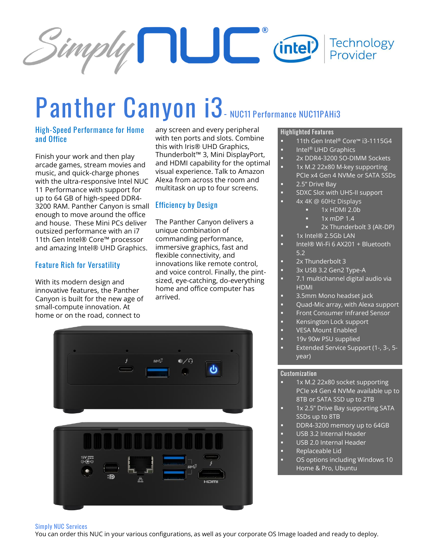

# Panther Canyon i3<sup>-</sup> **NUC11 Performance NUC11PAHi3**

#### **High-Speed Performance for Home and Office**

Finish your work and then play arcade games, stream movies and music, and quick-charge phones with the ultra-responsive Intel NUC 11 Performance with support for up to 64 GB of high-speed DDR4- 3200 RAM. Panther Canyon is small **Efficiency by Design**  enough to move around the office and house. These Mini PCs deliver outsized performance with an i7 11th Gen Intel® Core™ processor and amazing Intel® UHD Graphics.

#### **Feature Rich for Versatility**

With its modern design and innovative features, the Panther Canyon is built for the new age of small-compute innovation. At home or on the road, connect to

any screen and every peripheral with ten ports and slots. Combine this with Iris® UHD Graphics, Thunderbolt™ 3, Mini DisplayPort, and HDMI capability for the optimal visual experience. Talk to Amazon Alexa from across the room and multitask on up to four screens.

The Panther Canyon delivers a unique combination of commanding performance, immersive graphics, fast and flexible connectivity, and innovations like remote control, and voice control. Finally, the pintsized, eye-catching, do-everything home and office computer has arrived.



#### **Highlighted Features**

- 11th Gen Intel® Core™ i3-1115G4
- Intel<sup>®</sup> UHD Graphics
- 2x DDR4-3200 SO-DIMM Sockets
- 1x M.2 22x80 M-key supporting PCIe x4 Gen 4 NVMe or SATA SSDs 2.5" Drive Bay
- SDXC Slot with UHS-II support
- 4x 4K @ 60Hz Displays
	- 1x HDMI 2.0b
	- 1x mDP 1.4
	- 2x Thunderbolt 3 (Alt-DP)
- 1x Intel® 2.5Gb LAN
- Intel® Wi-Fi 6 AX201 + Bluetooth 5.2
- 2x Thunderbolt 3
- 3x USB 3.2 Gen2 Type-A
- 7.1 multichannel digital audio via HDMI
- 3.5mm Mono headset jack
- Quad-Mic array, with Alexa support
- **Front Consumer Infrared Sensor**
- Kensington Lock support
- **VESA Mount Enabled**
- 19v 90w PSU supplied
- Extended Service Support (1-, 3-, 5year)

#### **Customization**

- 1x M.2 22x80 socket supporting PCIe x4 Gen 4 NVMe available up to 8TB or SATA SSD up to 2TB
- 1x 2.5" Drive Bay supporting SATA SSDs up to 8TB
- DDR4-3200 memory up to 64GB
- USB 3.2 Internal Header
- **USB 2.0 Internal Header**
- Replaceable Lid
- OS options including Windows 10 Home & Pro, Ubuntu

#### **Simply NUC Services**

You can order this NUC in your various configurations, as well as your corporate OS Image loaded and ready to deploy.